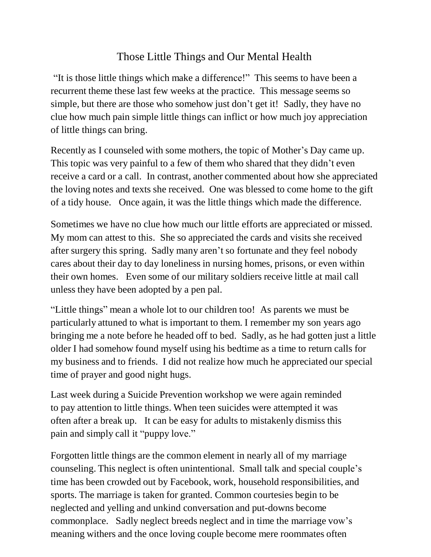## Those Little Things and Our Mental Health

"It is those little things which make a difference!" This seems to have been a recurrent theme these last few weeks at the practice. This message seems so simple, but there are those who somehow just don't get it! Sadly, they have no clue how much pain simple little things can inflict or how much joy appreciation of little things can bring.

Recently as I counseled with some mothers, the topic of Mother's Day came up. This topic was very painful to a few of them who shared that they didn't even receive a card or a call. In contrast, another commented about how she appreciated the loving notes and texts she received. One was blessed to come home to the gift of a tidy house. Once again, it was the little things which made the difference.

Sometimes we have no clue how much our little efforts are appreciated or missed. My mom can attest to this. She so appreciated the cards and visits she received after surgery this spring. Sadly many aren't so fortunate and they feel nobody cares about their day to day loneliness in nursing homes, prisons, or even within their own homes. Even some of our military soldiers receive little at mail call unless they have been adopted by a pen pal.

"Little things" mean a whole lot to our children too! As parents we must be particularly attuned to what is important to them. I remember my son years ago bringing me a note before he headed off to bed. Sadly, as he had gotten just a little older I had somehow found myself using his bedtime as a time to return calls for my business and to friends. I did not realize how much he appreciated our special time of prayer and good night hugs.

Last week during a Suicide Prevention workshop we were again reminded to pay attention to little things. When teen suicides were attempted it was often after a break up. It can be easy for adults to mistakenly dismiss this pain and simply call it "puppy love."

Forgotten little things are the common element in nearly all of my marriage counseling. This neglect is often unintentional. Small talk and special couple's time has been crowded out by Facebook, work, household responsibilities, and sports. The marriage is taken for granted. Common courtesies begin to be neglected and yelling and unkind conversation and put-downs become commonplace. Sadly neglect breeds neglect and in time the marriage vow's meaning withers and the once loving couple become mere roommates often